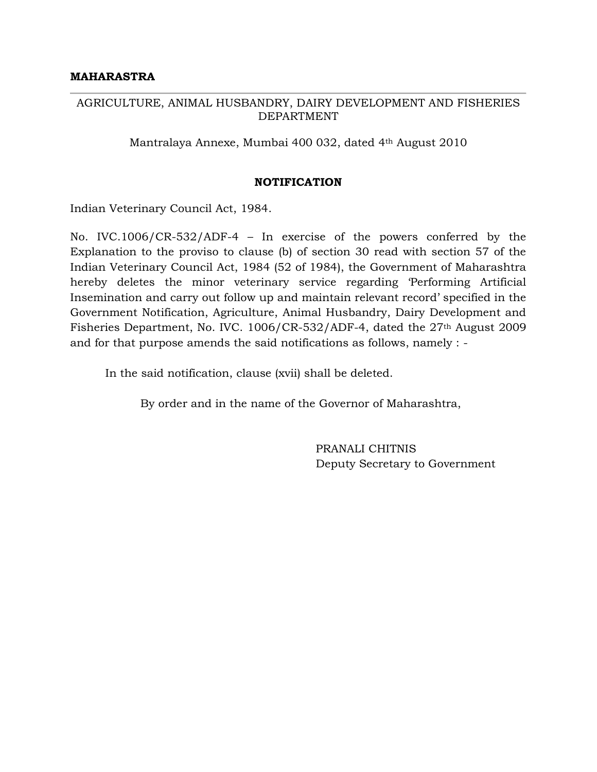#### AGRICULTURE, ANIMAL HUSBANDRY, DAIRY DEVELOPMENT AND FISHERIES DEPARTMENT

Mantralaya Annexe, Mumbai 400 032, dated 4th August 2010

### **NOTIFICATION**

Indian Veterinary Council Act, 1984.

No. IVC.1006/CR-532/ADF-4 – In exercise of the powers conferred by the Explanation to the proviso to clause (b) of section 30 read with section 57 of the Indian Veterinary Council Act, 1984 (52 of 1984), the Government of Maharashtra hereby deletes the minor veterinary service regarding 'Performing Artificial Insemination and carry out follow up and maintain relevant record' specified in the Government Notification, Agriculture, Animal Husbandry, Dairy Development and Fisheries Department, No. IVC. 1006/CR-532/ADF-4, dated the 27th August 2009 and for that purpose amends the said notifications as follows, namely : -

In the said notification, clause (xvii) shall be deleted.

By order and in the name of the Governor of Maharashtra,

PRANALI CHITNIS Deputy Secretary to Government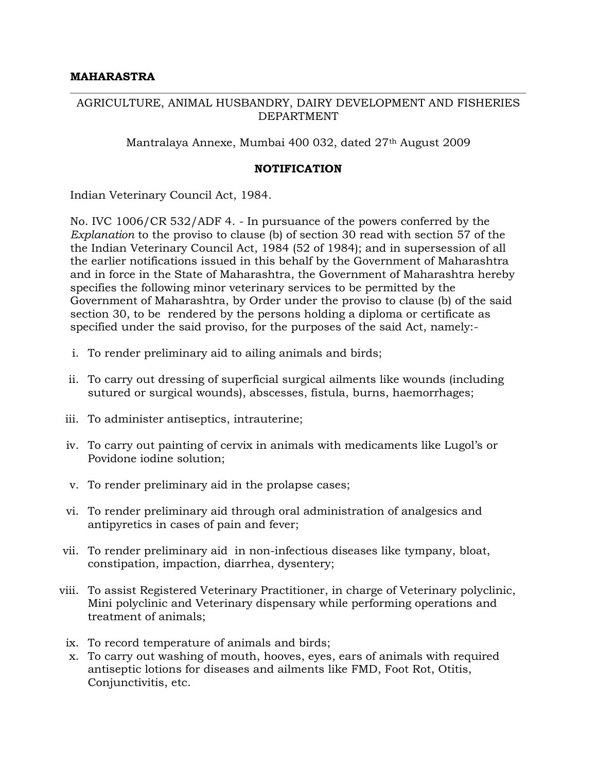# AGRICULTURE, ANIMAL HUSBANDRY, DAIRY DEVELOPMENT AND FISHERIES DEPARTMENT

Mantralaya Annexe, Mumbai 400 032, dated 27<sup>th</sup> August 2009

# **NOTIFICATION**

Indian Veterinary Council Act, 1984.

No. IVC 1006/CR 532/ADF 4. - In pursuance of the powers conferred by the *Explanation* to the proviso to clause (b) of section 30 read with section 57 of the the Indian Veterinary Council Act, 1984 (52 of 1984); and in supersession of all the earlier notifications issued in this behalf by the Government of Maharashtra and in force in the State of Maharashtra, the Government of Maharashtra hereby specifies the following minor veterinary services to be permitted by the Government of Maharashtra, by Order under the proviso to clause (b) of the said section 30, to be rendered by the persons holding a diploma or certificate as specified under the said proviso, for the purposes of the said Act, namely:-

- i. To render preliminary aid to ailing animals and birds;
- ii. To carry out dressing of superficial surgical ailments like wounds (including sutured or surgical wounds), abscesses, fistula, burns, haemorrhages;
- iii. To administer antiseptics, intrauterine;
- iv. To carry out painting of cervix in animals with medicaments like Lugol's or Povidone iodine solution;
- v. To render preliminary aid in the prolapse cases;
- vi. To render preliminary aid through oral administration of analgesics and antipyretics in cases of pain and fever;
- vii. To render preliminary aid in non-infectious diseases like tympany, bloat, constipation, impaction, diarrhea, dysentery;
- viii. To assist Registered Veterinary Practitioner, in charge of Veterinary polyclinic, Mini polyclinic and Veterinary dispensary while performing operations and treatment of animals;
- ix. To record temperature of animals and birds;
- x. To carry out washing of mouth, hooves, eyes, ears of animals with required antiseptic lotions for diseases and ailments like FMD, Foot Rot, Otitis, Conjunctivitis, etc.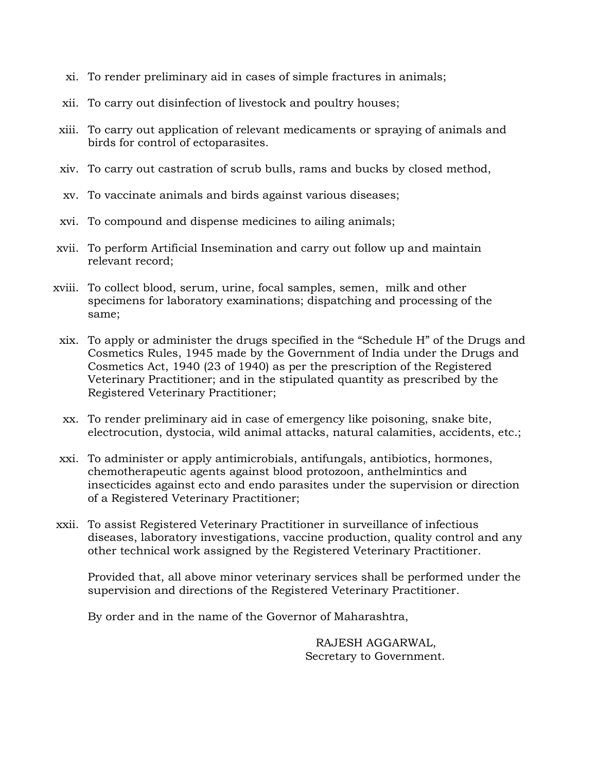- xi. To render preliminary aid in cases of simple fractures in animals;
- xii. To carry out disinfection of livestock and poultry houses;
- xiii. To carry out application of relevant medicaments or spraying of animals and birds for control of ectoparasites.
- xiv. To carry out castration of scrub bulls, rams and bucks by closed method,
- xv. To vaccinate animals and birds against various diseases;
- xvi. To compound and dispense medicines to ailing animals;
- xvii. To perform Artificial Insemination and carry out follow up and maintain relevant record;
- xviii. To collect blood, serum, urine, focal samples, semen, milk and other specimens for laboratory examinations; dispatching and processing of the same;
- xix. To apply or administer the drugs specified in the "Schedule H" of the Drugs and Cosmetics Rules, 1945 made by the Government of India under the Drugs and Cosmetics Act, 1940 (23 of 1940) as per the prescription of the Registered Veterinary Practitioner; and in the stipulated quantity as prescribed by the Registered Veterinary Practitioner;
- xx. To render preliminary aid in case of emergency like poisoning, snake bite, electrocution, dystocia, wild animal attacks, natural calamities, accidents, etc.;
- xxi. To administer or apply antimicrobials, antifungals, antibiotics, hormones, chemotherapeutic agents against blood protozoon, anthelmintics and insecticides against ecto and endo parasites under the supervision or direction of a Registered Veterinary Practitioner;
- xxii. To assist Registered Veterinary Practitioner in surveillance of infectious diseases, laboratory investigations, vaccine production, quality control and any other technical work assigned by the Registered Veterinary Practitioner.

Provided that, all above minor veterinary services shall be performed under the supervision and directions of the Registered Veterinary Practitioner.

By order and in the name of the Governor of Maharashtra,

RAJESH AGGARWAL, Secretary to Government.